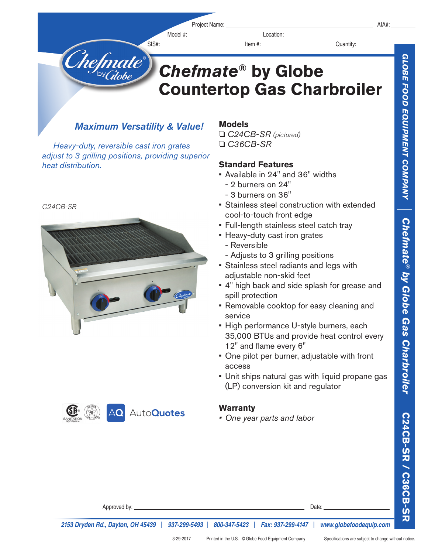Project Name: AIA#:

Model #: Location: Location:

*Chefmate*

*® by Globe Gas Charbroiler*

**Chefmate® by Globe Gas Charbroiler** 

SIS#: Item #: Quantity:

# *Chefmate***® by Globe Countertop Gas Charbroiler**

## *Maximum Versatility & Value!*

Heavy-duty, reversible cast iron grates adjust to 3 grilling positions, providing superior heat distribution.

T**hefmate** 

#### *C24CB-SR*





#### **Models**

o *C24CB-SR (pictured)* o *C36CB-SR*

#### **Standard Features**

- • Available in 24" and 36" widths
	- 2 burners on 24"
	- 3 burners on 36"
- Stainless steel construction with extended cool-to-touch front edge
- Full-length stainless steel catch tray
- Heavy-duty cast iron grates
	- Reversible
	- Adjusts to 3 grilling positions
- **Stainless steel radiants and legs with**  adjustable non-skid feet
- • 4" high back and side splash for grease and spill protection
- Removable cooktop for easy cleaning and service
- High performance U-style burners, each 35,000 BTUs and provide heat control every 12" and flame every 6"
- One pilot per burner, adjustable with front access
- Unit ships natural gas with liquid propane gas (LP) conversion kit and regulator

### **Warranty**

• One year parts and labor

Approved by: Date:  $\Box$ 

*2153 Dryden Rd., Dayton, OH 45439* | *937-299-5493* | *800-347-5423* | *Fax: 937-299-4147* | *www.globefoodequip.com*